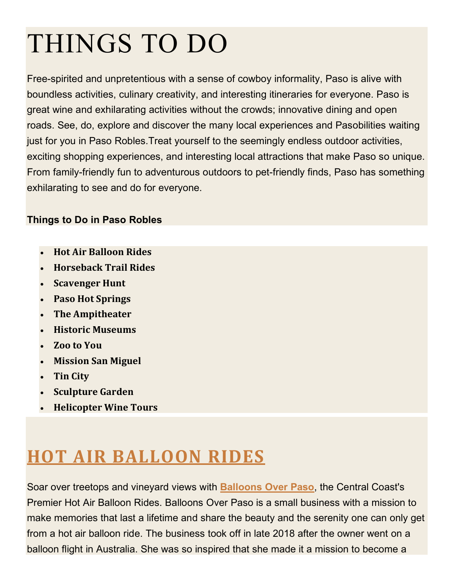# THINGS TO DO

Free-spirited and unpretentious with a sense of cowboy informality, Paso is alive with boundless activities, culinary creativity, and interesting itineraries for everyone. Paso is great wine and exhilarating activities without the crowds; innovative dining and open roads. See, do, explore and discover the many local experiences and Pasobilities waiting just for you in Paso Robles.Treat yourself to the seemingly endless outdoor activities, exciting shopping experiences, and interesting local attractions that make Paso so unique. From family-friendly fun to adventurous outdoors to pet-friendly finds, Paso has something exhilarating to see and do for everyone.

#### **Things to Do in Paso Robles**

- **Hot Air Balloon Rides**
- **Horseback Trail Rides**
- **Scavenger Hunt**
- **Paso Hot Springs**
- **The Ampitheater**
- **Historic Museums**
- **Zoo to You**
- **Mission San Miguel**
- **Tin City**
- **Sculpture Garden**
- **Helicopter Wine Tours**

# **HOT AIR BALLOON RIDES**

Soar over treetops and vineyard views with **Balloons Over Paso**, the Central Coast's Premier Hot Air Balloon Rides. Balloons Over Paso is a small business with a mission to make memories that last a lifetime and share the beauty and the serenity one can only get from a hot air balloon ride. The business took off in late 2018 after the owner went on a balloon flight in Australia. She was so inspired that she made it a mission to become a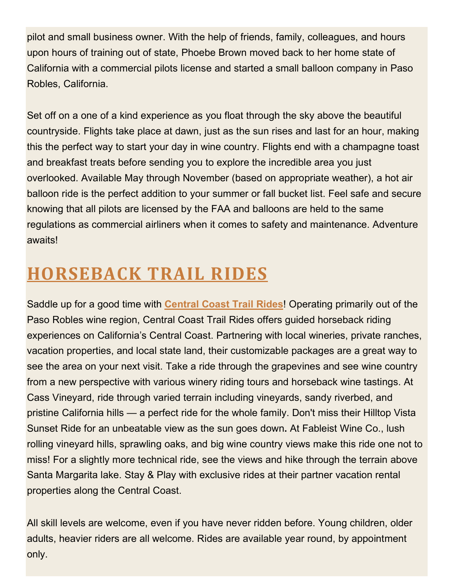pilot and small business owner. With the help of friends, family, colleagues, and hours upon hours of training out of state, Phoebe Brown moved back to her home state of California with a commercial pilots license and started a small balloon company in Paso Robles, California.

Set off on a one of a kind experience as you float through the sky above the beautiful countryside. Flights take place at dawn, just as the sun rises and last for an hour, making this the perfect way to start your day in wine country. Flights end with a champagne toast and breakfast treats before sending you to explore the incredible area you just overlooked. Available May through November (based on appropriate weather), a hot air balloon ride is the perfect addition to your summer or fall bucket list. Feel safe and secure knowing that all pilots are licensed by the FAA and balloons are held to the same regulations as commercial airliners when it comes to safety and maintenance. Adventure awaits!

#### **HORSEBACK TRAIL RIDES**

Saddle up for a good time with **Central Coast Trail Rides**! Operating primarily out of the Paso Robles wine region, Central Coast Trail Rides offers guided horseback riding experiences on California's Central Coast. Partnering with local wineries, private ranches, vacation properties, and local state land, their customizable packages are a great way to see the area on your next visit. Take a ride through the grapevines and see wine country from a new perspective with various winery riding tours and horseback wine tastings. At Cass Vineyard, ride through varied terrain including vineyards, sandy riverbed, and pristine California hills — a perfect ride for the whole family. Don't miss their Hilltop Vista Sunset Ride for an unbeatable view as the sun goes down**.** At Fableist Wine Co., lush rolling vineyard hills, sprawling oaks, and big wine country views make this ride one not to miss! For a slightly more technical ride, see the views and hike through the terrain above Santa Margarita lake. Stay & Play with exclusive rides at their partner vacation rental properties along the Central Coast.

All skill levels are welcome, even if you have never ridden before. Young children, older adults, heavier riders are all welcome. Rides are available year round, by appointment only.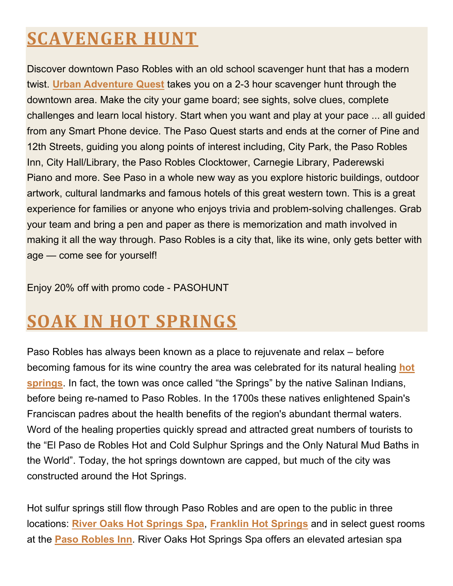# **SCAVENGER HUNT**

Discover downtown Paso Robles with an old school scavenger hunt that has a modern twist. **Urban Adventure Quest** takes you on a 2-3 hour scavenger hunt through the downtown area. Make the city your game board; see sights, solve clues, complete challenges and learn local history. Start when you want and play at your pace ... all guided from any Smart Phone device. The Paso Quest starts and ends at the corner of Pine and 12th Streets, guiding you along points of interest including, City Park, the Paso Robles Inn, City Hall/Library, the Paso Robles Clocktower, Carnegie Library, Paderewski Piano and more. See Paso in a whole new way as you explore historic buildings, outdoor artwork, cultural landmarks and famous hotels of this great western town. This is a great experience for families or anyone who enjoys trivia and problem-solving challenges. Grab your team and bring a pen and paper as there is memorization and math involved in making it all the way through. Paso Robles is a city that, like its wine, only gets better with age — come see for yourself!

Enjoy 20% off with promo code - PASOHUNT

### **SOAK IN HOT SPRINGS**

Paso Robles has always been known as a place to rejuvenate and relax – before becoming famous for its wine country the area was celebrated for its natural healing **hot springs**. In fact, the town was once called "the Springs" by the native Salinan Indians, before being re-named to Paso Robles. In the 1700s these natives enlightened Spain's Franciscan padres about the health benefits of the region's abundant thermal waters. Word of the healing properties quickly spread and attracted great numbers of tourists to the "El Paso de Robles Hot and Cold Sulphur Springs and the Only Natural Mud Baths in the World". Today, the hot springs downtown are capped, but much of the city was constructed around the Hot Springs.

Hot sulfur springs still flow through Paso Robles and are open to the public in three locations: **River Oaks Hot Springs Spa**, **Franklin Hot Springs** and in select guest rooms at the **Paso Robles Inn**. River Oaks Hot Springs Spa offers an elevated artesian spa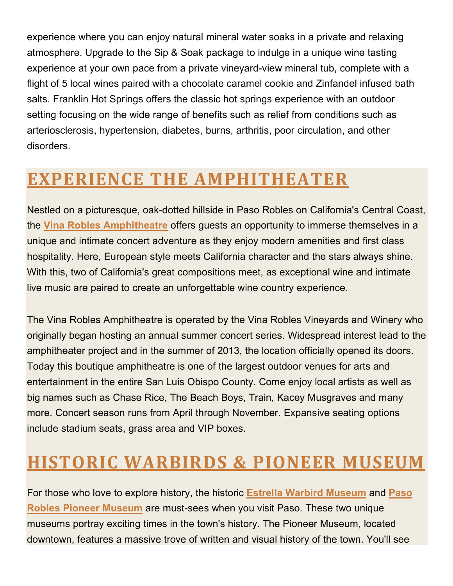experience where you can enjoy natural mineral water soaks in a private and relaxing atmosphere. Upgrade to the Sip & Soak package to indulge in a unique wine tasting experience at your own pace from a private vineyard-view mineral tub, complete with a flight of 5 local wines paired with a chocolate caramel cookie and Zinfandel infused bath salts. Franklin Hot Springs offers the classic hot springs experience with an outdoor setting focusing on the wide range of benefits such as relief from conditions such as arteriosclerosis, hypertension, diabetes, burns, arthritis, poor circulation, and other disorders.

#### **EXPERIENCE THE AMPHITHEATER**

Nestled on a picturesque, oak-dotted hillside in Paso Robles on California's Central Coast, the **Vina Robles Amphitheatre** offers guests an opportunity to immerse themselves in a unique and intimate concert adventure as they enjoy modern amenities and first class hospitality. Here, European style meets California character and the stars always shine. With this, two of California's great compositions meet, as exceptional wine and intimate live music are paired to create an unforgettable wine country experience.

The Vina Robles Amphitheatre is operated by the Vina Robles Vineyards and Winery who originally began hosting an annual summer concert series. Widespread interest lead to the amphitheater project and in the summer of 2013, the location officially opened its doors. Today this boutique amphitheatre is one of the largest outdoor venues for arts and entertainment in the entire San Luis Obispo County. Come enjoy local artists as well as big names such as Chase Rice, The Beach Boys, Train, Kacey Musgraves and many more. Concert season runs from April through November. Expansive seating options include stadium seats, grass area and VIP boxes.

### **HISTORIC WARBIRDS & PIONEER MUSEUM**

For those who love to explore history, the historic **Estrella Warbird Museum** and **Paso Robles Pioneer Museum** are must-sees when you visit Paso. These two unique museums portray exciting times in the town's history. The Pioneer Museum, located downtown, features a massive trove of written and visual history of the town. You'll see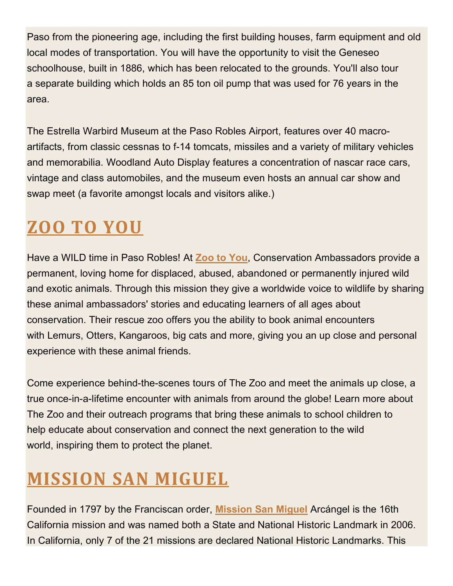Paso from the pioneering age, including the first building houses, farm equipment and old local modes of transportation. You will have the opportunity to visit the Geneseo schoolhouse, built in 1886, which has been relocated to the grounds. You'll also tour a separate building which holds an 85 ton oil pump that was used for 76 years in the area.

The Estrella Warbird Museum at the Paso Robles Airport, features over 40 macroartifacts, from classic cessnas to f-14 tomcats, missiles and a variety of military vehicles and memorabilia. Woodland Auto Display features a concentration of nascar race cars, vintage and class automobiles, and the museum even hosts an annual car show and swap meet (a favorite amongst locals and visitors alike.)

# **ZOO TO YOU**

Have a WILD time in Paso Robles! At **Zoo to You**, Conservation Ambassadors provide a permanent, loving home for displaced, abused, abandoned or permanently injured wild and exotic animals. Through this mission they give a worldwide voice to wildlife by sharing these animal ambassadors' stories and educating learners of all ages about conservation. Their rescue zoo offers you the ability to book animal encounters with Lemurs, Otters, Kangaroos, big cats and more, giving you an up close and personal experience with these animal friends.

Come experience behind-the-scenes tours of The Zoo and meet the animals up close, a true once-in-a-lifetime encounter with animals from around the globe! Learn more about The Zoo and their outreach programs that bring these animals to school children to help educate about conservation and connect the next generation to the wild world, inspiring them to protect the planet.

# **MISSION SAN MIGUEL**

Founded in 1797 by the Franciscan order, **Mission San Miguel** Arcángel is the 16th California mission and was named both a State and National Historic Landmark in 2006. In California, only 7 of the 21 missions are declared National Historic Landmarks. This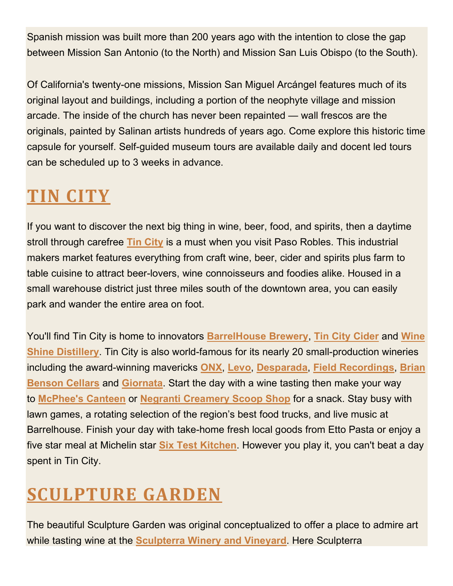Spanish mission was built more than 200 years ago with the intention to close the gap between Mission San Antonio (to the North) and Mission San Luis Obispo (to the South).

Of California's twenty-one missions, Mission San Miguel Arcángel features much of its original layout and buildings, including a portion of the neophyte village and mission arcade. The inside of the church has never been repainted — wall frescos are the originals, painted by Salinan artists hundreds of years ago. Come explore this historic time capsule for yourself. Self-guided museum tours are available daily and docent led tours can be scheduled up to 3 weeks in advance.

# **TIN CITY**

If you want to discover the next big thing in wine, beer, food, and spirits, then a daytime stroll through carefree **Tin City** is a must when you visit Paso Robles. This industrial makers market features everything from craft wine, beer, cider and spirits plus farm to table cuisine to attract beer-lovers, wine connoisseurs and foodies alike. Housed in a small warehouse district just three miles south of the downtown area, you can easily park and wander the entire area on foot.

You'll find Tin City is home to innovators **BarrelHouse Brewery**, **Tin City Cider** and **Wine Shine Distillery**. Tin City is also world-famous for its nearly 20 small-production wineries including the award-winning mavericks **ONX**, **Levo**, **Desparada**, **Field Recordings**, **Brian Benson Cellars** and **Giornata**. Start the day with a wine tasting then make your way to **McPhee's Canteen** or **Negranti Creamery Scoop Shop** for a snack. Stay busy with lawn games, a rotating selection of the region's best food trucks, and live music at Barrelhouse. Finish your day with take-home fresh local goods from Etto Pasta or enjoy a five star meal at Michelin star **Six Test Kitchen**. However you play it, you can't beat a day spent in Tin City.

# **SCULPTURE GARDEN**

The beautiful Sculpture Garden was original conceptualized to offer a place to admire art while tasting wine at the **Sculpterra Winery and Vineyard**. Here Sculpterra